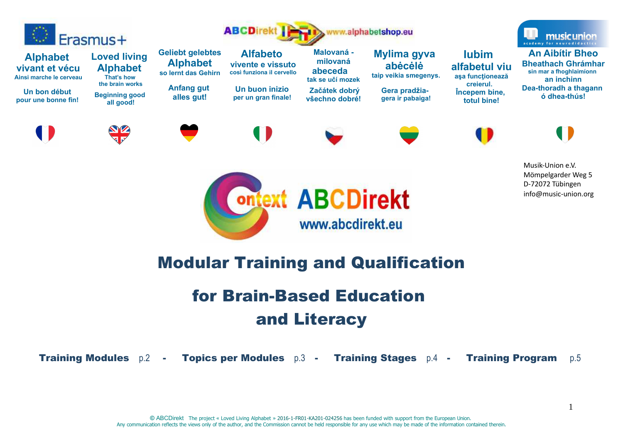

# Modular Training and Qualification

# for Brain-Based Education and Literacy

Training Modules p.2 - Topics per Modules p.3 - Training Stages p.4 - Training Program p.5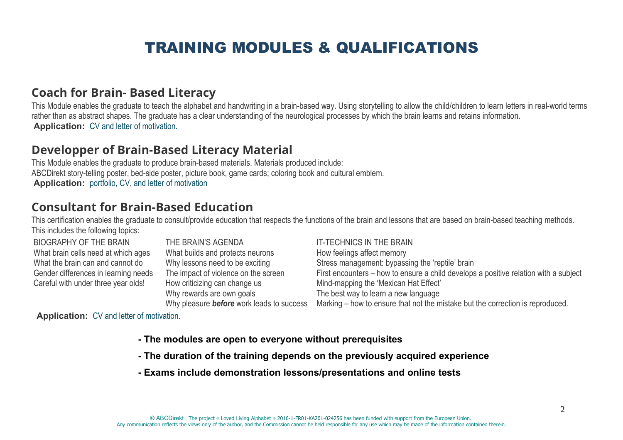# TRAINING MODULES & QUALIFICATIONS

## **Coach for Brain- Based Literacy**

This Module enables the graduate to teach the alphabet and handwriting in a brain-based way. Using storytelling to allow the child/children to learn letters in real-world terms rather than as abstract shapes. The graduate has a clear understanding of the neurological processes by which the brain learns and retains information.**Application:** CV and letter of motivation.

# **Developper of Brain-Based Literacy Material**

This Module enables the graduate to produce brain-based materials. Materials produced include: ABCDirekt story-telling poster, bed-side poster, picture book, game cards; coloring book and cultural emblem.**Application:** portfolio, CV, and letter of motivation

## **Consultant for Brain-Based Education**

 This certification enables the graduate to consult/provide education that respects the functions of the brain and lessons that are based on brain-based teaching methods.This includes the following topics:

### BIOGRAPHY OF THE BRAIN What brain cells need at which agesWhat the brain can and cannot do Gender differences in learning needsCareful with under three year olds!

THE BRAIN'S AGENDA What builds and protects neurons Why lessons need to be exciting The impact of violence on the screenHow criticizing can change usWhy rewards are own goalsWhy pleasure *before* work leads to success

### IT-TECHNICS IN THE BRAIN

How feelings affect memory Stress management: bypassing the 'reptile' brain First encounters – how to ensure a child develops a positive relation with a subjectMind-mapping the 'Mexican Hat Effect' The best way to learn a new languageMarking – how to ensure that not the mistake but the correction is reproduced.

**Application:** CV and letter of motivation.

- **The modules are open to everyone without prerequisites**
- **The duration of the training depends on the previously acquired experience**
- **Exams include demonstration lessons/presentations and online tests**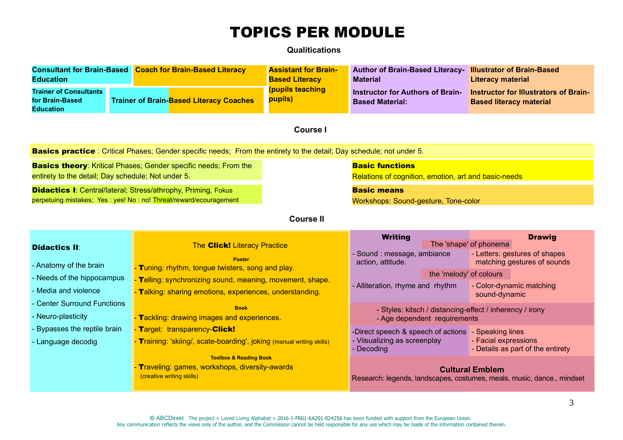# TOPICS PER MODULE

### **Qualitications**

| <b>Consultant for Brain-Based</b><br><b>Education</b><br><b>Trainer of Consultants</b><br>for Brain-Based                                   |  |                                                                                                                 | <b>Coach for Brain-Based Literacy</b><br><b>Trainer of Brain-Based Literacy Coaches</b>                               | <b>Assistant for Brain-</b><br><b>Based Literacy</b><br>(pupils teaching<br>pupils) | Author of Brain-Based Literacy- Illustrator of Brain-Based<br><b>Material</b><br><b>Instructor for Authors of Brain-</b><br><b>Based Material:</b> |                         | <b>Literacy material</b><br><b>Based literacy material</b> | Instructor for Illustrators of Brain-                                         |  |  |
|---------------------------------------------------------------------------------------------------------------------------------------------|--|-----------------------------------------------------------------------------------------------------------------|-----------------------------------------------------------------------------------------------------------------------|-------------------------------------------------------------------------------------|----------------------------------------------------------------------------------------------------------------------------------------------------|-------------------------|------------------------------------------------------------|-------------------------------------------------------------------------------|--|--|
| <b>Education</b><br>Course I                                                                                                                |  |                                                                                                                 |                                                                                                                       |                                                                                     |                                                                                                                                                    |                         |                                                            |                                                                               |  |  |
| <b>Basics practice</b> : Critical Phases; Gender specific needs; From the entirety to the detail; Day schedule; not under 5.                |  |                                                                                                                 |                                                                                                                       |                                                                                     |                                                                                                                                                    |                         |                                                            |                                                                               |  |  |
| <b>Basics theory:</b> Kritical Phases; Gender specific needs; From the<br>entirety to the detail; Day schedule; Not under 5.                |  |                                                                                                                 |                                                                                                                       |                                                                                     | <b>Basic functions</b><br>Relations of cognition, emotion, art and basic-needs                                                                     |                         |                                                            |                                                                               |  |  |
| <b>Didactics I: Central/lateral; Stress/athrophy, Priming, Fokus</b><br>perpetuing mistakes; Yes : yes! No : no! Threat/reward/ecouragement |  |                                                                                                                 |                                                                                                                       |                                                                                     | <b>Basic means</b><br>Workshops: Sound-gesture, Tone-color                                                                                         |                         |                                                            |                                                                               |  |  |
| <b>Course II</b>                                                                                                                            |  |                                                                                                                 |                                                                                                                       |                                                                                     |                                                                                                                                                    |                         |                                                            |                                                                               |  |  |
| <b>Didactics II:</b><br>- Anatomy of the brain<br>- Needs of the hippocampus                                                                |  | The <b>Click!</b> Literacy Practice<br><b>Poster</b><br>- Tuning: rhythm, tongue twisters, song and play.       |                                                                                                                       |                                                                                     | <b>Writing</b><br>- Sound: message, ambiance<br>action, attitude.                                                                                  | the 'melody' of colours | The 'shape' of phonema                                     | <b>Drawig</b><br>- Letters: gestures of shapes<br>matching gestures of sounds |  |  |
| - Media and violence                                                                                                                        |  |                                                                                                                 | - Telling: synchronizing sound, meaning, movement, shape.<br>- Talking: sharing emotions, experiences, understanding. |                                                                                     | - Alliteration, rhyme and rhythm                                                                                                                   |                         | - Color-dynamic matching<br>sound-dynamic                  |                                                                               |  |  |
| - Center Surround Functions<br>- Neuro-plasticity                                                                                           |  | <b>Book</b><br>- Tackling: drawing images and experiences.                                                      |                                                                                                                       |                                                                                     | - Styles: kitsch / distancing-effect / inherency / irony<br>- Age dependent requirements                                                           |                         |                                                            |                                                                               |  |  |
| Bypasses the reptile brain<br>- Language decodig                                                                                            |  |                                                                                                                 | - Target: transparency-Click!<br>- Training: 'skiing/, scate-boarding', joking (manual writing skills)                |                                                                                     | -Direct speech & speech of actions - Speaking lines<br>- Viisualizing as screenplay<br>- Decoding                                                  |                         | - Facial expressions<br>- Details as part of the entirety  |                                                                               |  |  |
|                                                                                                                                             |  | <b>Toolbox &amp; Reading Book</b><br>Traveling: games, workshops, diversity-awards<br>(creative writing skills) |                                                                                                                       |                                                                                     | <b>Cultural Emblem</b><br>Research: legends, landscapes, costumes, meals, music, dance., mindset                                                   |                         |                                                            |                                                                               |  |  |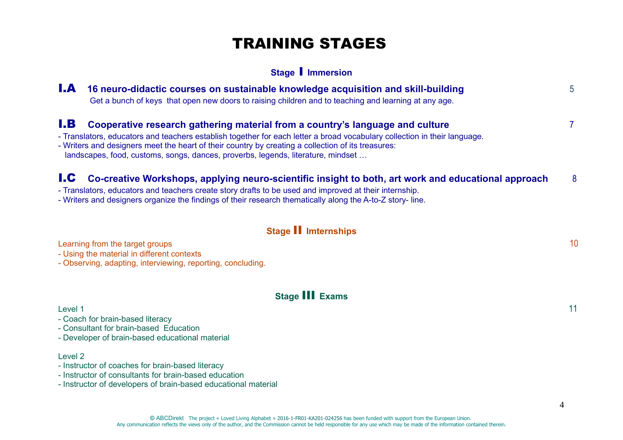# TRAINING STAGES

### **Stage** I **Immersion**

| I.A        | 16 neuro-didactic courses on sustainable knowledge acquisition and skill-building<br>Get a bunch of keys that open new doors to raising children and to teaching and learning at any age.                                                                                                                                                                                                            |              |  |  |  |  |  |
|------------|------------------------------------------------------------------------------------------------------------------------------------------------------------------------------------------------------------------------------------------------------------------------------------------------------------------------------------------------------------------------------------------------------|--------------|--|--|--|--|--|
| I.B        | Cooperative research gathering material from a country's language and culture<br>- Translators, educators and teachers establish together for each letter a broad vocabulary collection in their language.<br>- Writers and designers meet the heart of their country by creating a collection of its treasures:<br>landscapes, food, customs, songs, dances, proverbs, legends, literature, mindset | $\mathbf{7}$ |  |  |  |  |  |
| <b>I.C</b> | Co-creative Workshops, applying neuro-scientific insight to both, art work and educational approach<br>- Translators, educators and teachers create story drafts to be used and improved at their internship.<br>- Writers and designers organize the findings of their research thematically along the A-to-Z story-line.                                                                           | 8            |  |  |  |  |  |
|            | Stage II Imternships                                                                                                                                                                                                                                                                                                                                                                                 |              |  |  |  |  |  |
|            | Learning from the target groups<br>- Using the material in different contexts<br>- Observing, adapting, interviewing, reporting, concluding.                                                                                                                                                                                                                                                         | 10           |  |  |  |  |  |
|            | <b>Stage III Exams</b>                                                                                                                                                                                                                                                                                                                                                                               |              |  |  |  |  |  |
| Level 1    | - Coach for brain-based literacy<br>- Consultant for brain-based Education<br>- Developer of brain-based educational material                                                                                                                                                                                                                                                                        | 11           |  |  |  |  |  |
| Level 2    | - Instructor of coaches for brain-based literacy<br>- Instructor of consultants for brain-based education                                                                                                                                                                                                                                                                                            |              |  |  |  |  |  |

- Instructor of developers of brain-based educational material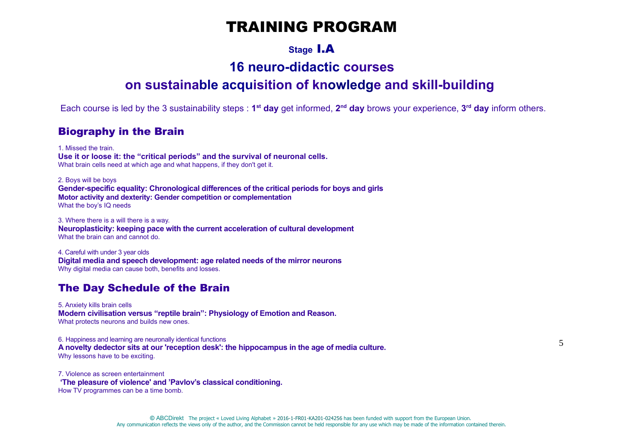# TRAINING PROGRAM

## **Stage** I.A

# **16 neuro-didactic courses**

# **on sustainable acquisition of knowledge and skill-building**

Each course is led by the 3 sustainability steps : **1st day** get informed, **2nd day** brows your experience, **3rd day** inform others.

### Biography in the Brain

1. Missed the train. **Use it or loose it: the "critical periods" and the survival of neuronal cells.**What brain cells need at which age and what happens, if they don't get it.

2. Boys will be boys **Gender-specific equality: Chronological differences of the critical periods for boys and girlsMotor activity and dexterity: Gender competition or complementation**What the boy's IQ needs

3. Where there is a will there is a way.**Neuroplasticity: keeping pace with the current acceleration of cultural development**What the brain can and cannot do.

4. Careful with under 3 year olds **Digital media and speech development: age related needs of the mirror neurons**Why digital media can cause both, benefits and losses.

### The Day Schedule of the Brain

5. Anxiety kills brain cells **Modern civilisation versus "reptile brain": Physiology of Emotion and Reason.**What protects neurons and builds new ones.

6. Happiness and learning are neuronally identical functions **A novelty dedector sits at our 'reception desk': the hippocampus in the age of media culture.** Why lessons have to be exciting.

7. Violence as screen entertainment **'The pleasure of violence' and 'Pavlov's classical conditioning.**How TV programmes can be a time bomb.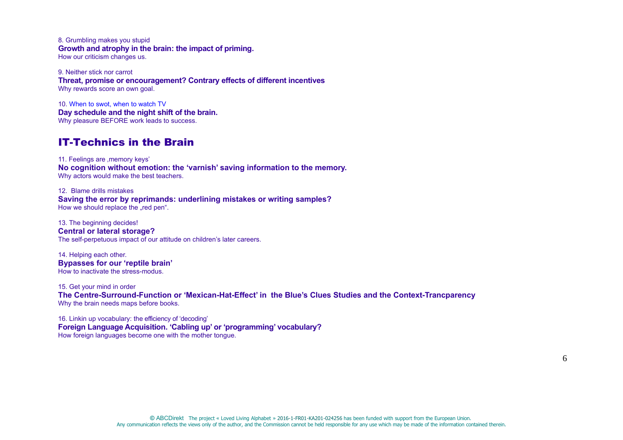8. Grumbling makes you stupid **Growth and atrophy in the brain: the impact of priming.**How our criticism changes us.

9. Neither stick nor carrot **Threat, promise or encouragement? Contrary effects of different incentives** Why rewards score an own goal.

10. When to swot, when to watch TV **Day schedule and the night shift of the brain.**Why pleasure BEFORE work leads to success.

### IT-Technics in the Brain

11. Feelings are .memory keys' **No cognition without emotion: the 'varnish' saving information to the memory.**Why actors would make the best teachers.

12. Blame drills mistakes **Saving the error by reprimands: underlining mistakes or writing samples?**How we should replace the "red pen".

13. The beginning decides! **Central or lateral storage?**The self-perpetuous impact of our attitude on children's later careers.

14. Helping each other. **Bypasses for our 'reptile brain'**How to inactivate the stress-modus.

15. Get your mind in order **The Centre-Surround-Function or 'Mexican-Hat-Effect' in the Blue's Clues Studies and the Context-Trancparency**Why the brain needs maps before books.

16. Linkin up vocabulary: the efficiency of 'decoding' **Foreign Language Acquisition. 'Cabling up' or 'programming' vocabulary?** How foreign languages become one with the mother tongue.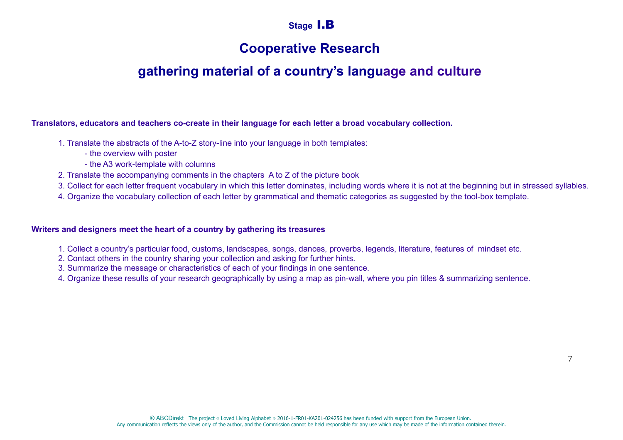## **Stage** I.B

# **Cooperative Research**

# **gathering material of a country's language and culture**

**Translators, educators and teachers co-create in their language for each letter a broad vocabulary collection.**

- 1. Translate the abstracts of the A-to-Z story-line into your language in both templates:
	- the overview with poster
	- the A3 work-template with columns
- 2. Translate the accompanying comments in the chapters A to Z of the picture book
- 3. Collect for each letter frequent vocabulary in which this letter dominates, including words where it is not at the beginning but in stressed syllables.
- 4. Organize the vocabulary collection of each letter by grammatical and thematic categories as suggested by the tool-box template.

#### **Writers and designers meet the heart of a country by gathering its treasures**

- 1. Collect a country's particular food, customs, landscapes, songs, dances, proverbs, legends, literature, features of mindset etc.
- 2. Contact others in the country sharing your collection and asking for further hints.
- 3. Summarize the message or characteristics of each of your findings in one sentence.
- 4. Organize these results of your research geographically by using a map as pin-wall, where you pin titles & summarizing sentence.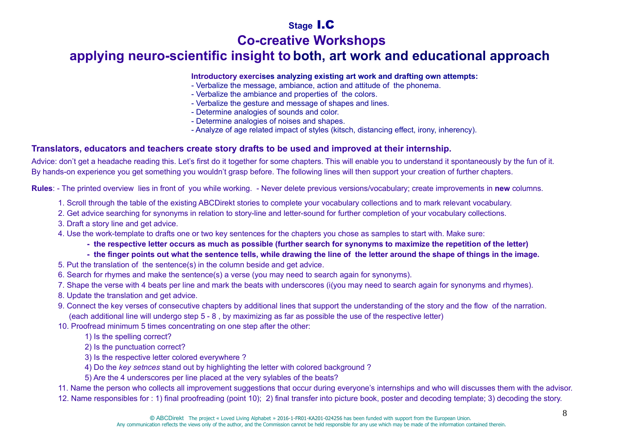## **Stage** I.C

# **Co-creative Workshops**

# **applying neuro-scientific insight to both, art work and educational approach**

#### **Introductory exercises analyzing existing art work and drafting own attempts:**

- Verbalize the message, ambiance, action and attitude of the phonema.
- Verbalize the ambiance and properties of the colors.
- Verbalize the gesture and message of shapes and lines.
- Determine analogies of sounds and color.
- Determine analogies of noises and shapes.
- Analyze of age related impact of styles (kitsch, distancing effect, irony, inherency).

### **Translators, educators and teachers create story drafts to be used and improved at their internship.**

Advice: don't get a headache reading this. Let's first do it together for some chapters. This will enable you to understand it spontaneously by the fun of it. By hands-on experience you get something you wouldn't grasp before. The following lines will then support your creation of further chapters.

**Rules**: - The printed overview lies in front of you while working. - Never delete previous versions/vocabulary; create improvements in **new** columns.

- 1. Scroll through the table of the existing ABCDirekt stories to complete your vocabulary collections and to mark relevant vocabulary.
- 2. Get advice searching for synonyms in relation to story-line and letter-sound for further completion of your vocabulary collections.
- 3. Draft a story line and get advice.
- 4. Use the work-template to drafts one or two key sentences for the chapters you chose as samples to start with. Make sure:
	- **the respective letter occurs as much as possible (further search for synonyms to maximize the repetition of the letter)**
	- **the finger points out what the sentence tells, while drawing the line of the letter around the shape of things in the image.**
- 5. Put the translation of the sentence(s) in the column beside and get advice.
- 6. Search for rhymes and make the sentence(s) a verse (you may need to search again for synonyms).
- 7. Shape the verse with 4 beats per line and mark the beats with underscores (i(you may need to search again for synonyms and rhymes).
- 8. Update the translation and get advice.
- 9. Connect the key verses of consecutive chapters by additional lines that support the understanding of the story and the flow of the narration.(each additional line will undergo step 5 - 8 , by maximizing as far as possible the use of the respective letter)
- 10. Proofread minimum 5 times concentrating on one step after the other:
	- 1) Is the spelling correct?
	- 2) Is the punctuation correct?
	- 3) Is the respective letter colored everywhere ?
	- 4) Do the *key setnces* stand out by highlighting the letter with colored background ?
	- 5) Are the 4 underscores per line placed at the very sylables of the beats?

11. Name the person who collects all improvement suggestions that occur during everyone's internships and who will discusses them with the advisor.

12. Name responsibles for : 1) final proofreading (point 10); 2) final transfer into picture book, poster and decoding template; 3) decoding the story.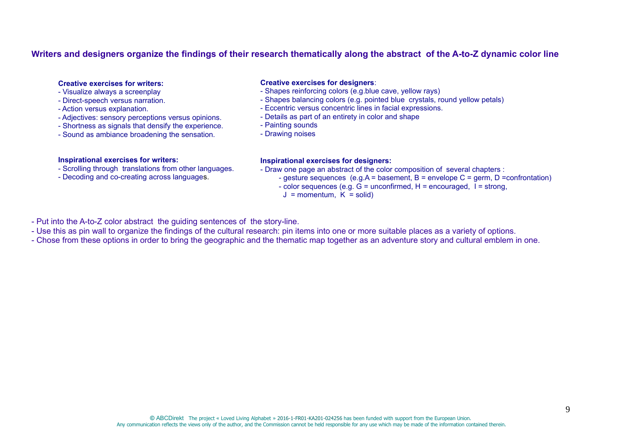#### **Writers and designers organize the findings of their research thematically along the abstract of the A-to-Z dynamic color line**

#### **Creative exercises for writers:**

- Visualize always a screenplay
- Direct-speech versus narration.
- Action versus explanation.
- Adjectives: sensory perceptions versus opinions.
- Shortness as signals that densify the experience.
- Sound as ambiance broadening the sensation.

#### **Inspirational exercises for writers:**

- Scrolling through translations from other languages.
- Decoding and co-creating across languages.

#### **Creative exercises for designers**:

- Shapes reinforcing colors (e.g.blue cave, yellow rays)
- Shapes balancing colors (e.g. pointed blue crystals, round yellow petals)
- Eccentric versus concentric lines in facial expressions.
- Details as part of an entirety in color and shape
- Painting sounds
- Drawing noises

#### **Inspirational exercises for designers:**

- Draw one page an abstract of the color composition of several chapters :

- - gesture sequences (e.g.A = basement, B = envelope C = germ, D =confrontation)
	- $-$  color sequences (e.g.  $G =$  unconfirmed,  $H =$  encouraged,  $I =$  strong,
	- $J =$  momentum,  $K =$  solid)

- Put into the A-to-Z color abstract the guiding sentences of the story-line.

- Use this as pin wall to organize the findings of the cultural research: pin items into one or more suitable places as a variety of options.
- Chose from these options in order to bring the geographic and the thematic map together as an adventure story and cultural emblem in one.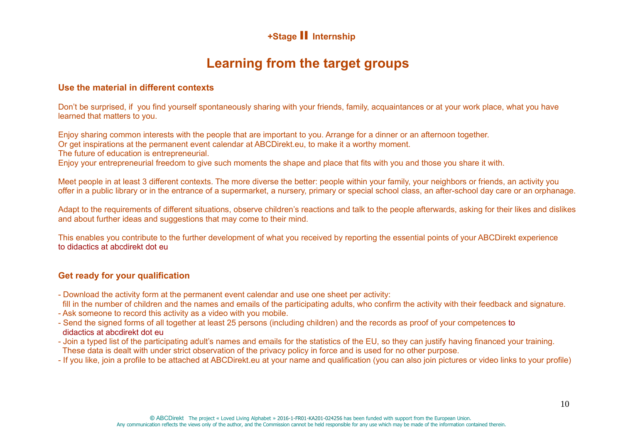## **+Stage** II **Internship**

# **Learning from the target groups**

#### **Use the material in different contexts**

Don't be surprised, if you find yourself spontaneously sharing with your friends, family, acquaintances or at your work place, what you have learned that matters to you.

Enjoy sharing common interests with the people that are important to you. Arrange for a dinner or an afternoon together.

Or get inspirations at the permanent event calendar at ABCDirekt.eu, to make it a worthy moment.

The future of education is entrepreneurial.

Enjoy your entrepreneurial freedom to give such moments the shape and place that fits with you and those you share it with.

Meet people in at least 3 different contexts. The more diverse the better: people within your family, your neighbors or friends, an activity you offer in a public library or in the entrance of a supermarket, a nursery, primary or special school class, an after-school day care or an orphanage.

Adapt to the requirements of different situations, observe children's reactions and talk to the people afterwards, asking for their likes and dislikes and about further ideas and suggestions that may come to their mind.

This enables you contribute to the further development of what you received by reporting the essential points of your ABCDirekt experienceto didactics at abcdirekt dot eu

### **Get ready for your qualification**

- Download the activity form at the permanent event calendar and use one sheet per activity:
- fill in the number of children and the names and emails of the participating adults, who confirm the activity with their feedback and signature.
- Ask someone to record this activity as a video with you mobile.
- Send the signed forms of all together at least 25 persons (including children) and the records as proof of your competences to didactics at abcdirekt dot eu
- Join a typed list of the participating adult's names and emails for the statistics of the EU, so they can justify having financed your training. These data is dealt with under strict observation of the privacy policy in force and is used for no other purpose.
- If you like, join a profile to be attached at ABCDirekt.eu at your name and qualification (you can also join pictures or video links to your profile)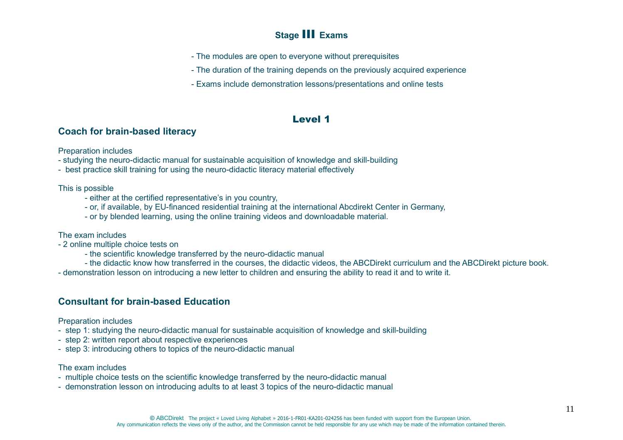## **Stage** III **Exams**

- The modules are open to everyone without prerequisites
- The duration of the training depends on the previously acquired experience
- Exams include demonstration lessons/presentations and online tests

### Level 1

### **Coach for brain-based literacy**

Preparation includes

- studying the neuro-didactic manual for sustainable acquisition of knowledge and skill-building

- best practice skill training for using the neuro-didactic literacy material effectively

This is possible

- either at the certified representative's in you country,
- or, if available, by EU-financed residential training at the international Abcdirekt Center in Germany,
- or by blended learning, using the online training videos and downloadable material.

The exam includes

- 2 online multiple choice tests on
	- the scientific knowledge transferred by the neuro-didactic manual
	- the didactic know how transferred in the courses, the didactic videos, the ABCDirekt curriculum and the ABCDirekt picture book.
- demonstration lesson on introducing a new letter to children and ensuring the ability to read it and to write it.

### **Consultant for brain-based Education**

Preparation includes

- step 1: studying the neuro-didactic manual for sustainable acquisition of knowledge and skill-building
- step 2: written report about respective experiences
- step 3: introducing others to topics of the neuro-didactic manual

#### The exam includes

- multiple choice tests on the scientific knowledge transferred by the neuro-didactic manual
- demonstration lesson on introducing adults to at least 3 topics of the neuro-didactic manual